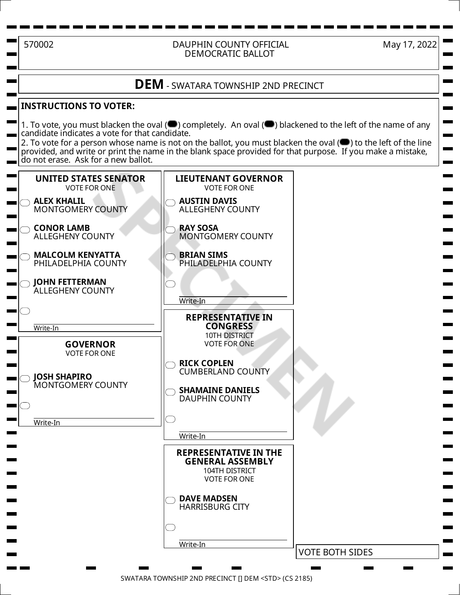## 570002 DAUPHIN COUNTY OFFICIAL DEMOCRATIC BALLOT

May 17, 2022

## **DEM** - SWATARA TOWNSHIP 2ND PRECINCT

## **INSTRUCTIONS TO VOTER:**

1. To vote, you must blacken the oval (●) completely. An oval (●) blackened to the left of the name of any candidate indicates a vote for that candidate.

2. To vote for a person whose name is not on the ballot, you must blacken the oval ( $\blacksquare$ ) to the left of the line provided, and write or print the name in the blank space provided for that purpose. If you make a mistake, do not erase. Ask for a new ballot.